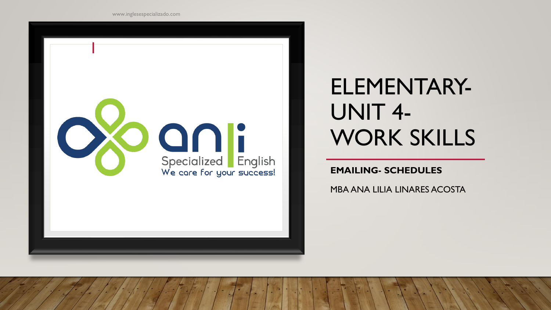

## ELEMENTARY-UNIT 4- WORK SKILLS

**EMAILING- SCHEDULES**

MBA ANA LILIA LINARES ACOSTA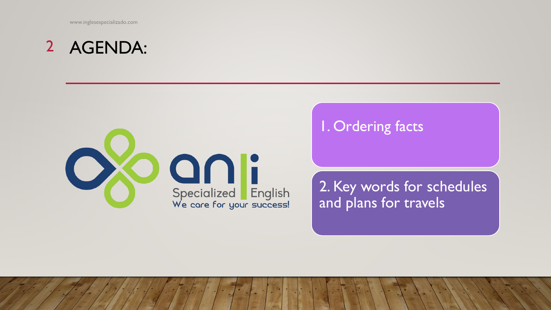www.inglesespecializado.com

## AGENDA: 2



### 1. Ordering facts

2. Key words for schedules and plans for travels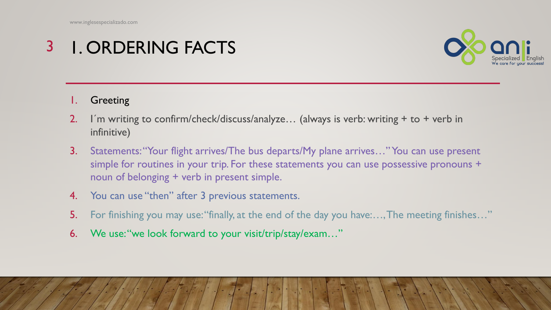#### 1. ORDERING FACTS 3



#### **Greeting**

- 2. I´m writing to confirm/check/discuss/analyze… (always is verb: writing + to + verb in infinitive)
- 3. Statements: "Your flight arrives/The bus departs/My plane arrives..." You can use present simple for routines in your trip. For these statements you can use possessive pronouns + noun of belonging + verb in present simple.
- 4. You can use "then" after 3 previous statements.
- 5. For finishing you may use: "finally, at the end of the day you have:..., The meeting finishes..."
- 6. We use: "we look forward to your visit/trip/stay/exam..."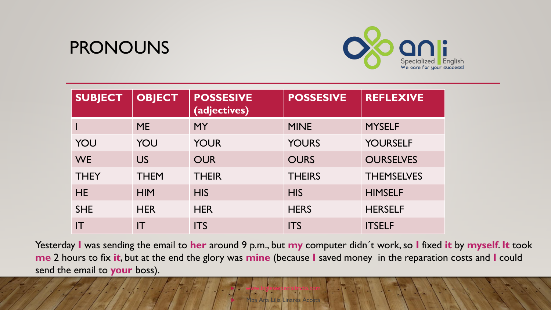### PRONOUNS



| <b>SUBJECT</b> | <b>OBJECT</b> | <b>POSSESIVE</b><br>(adjectives) | <b>POSSESIVE</b> | <b>REFLEXIVE</b>  |
|----------------|---------------|----------------------------------|------------------|-------------------|
|                | <b>ME</b>     | <b>MY</b>                        | <b>MINE</b>      | <b>MYSELF</b>     |
| YOU            | YOU           | <b>YOUR</b>                      | <b>YOURS</b>     | <b>YOURSELF</b>   |
| <b>WE</b>      | <b>US</b>     | <b>OUR</b>                       | <b>OURS</b>      | <b>OURSELVES</b>  |
| <b>THEY</b>    | <b>THEM</b>   | <b>THEIR</b>                     | <b>THEIRS</b>    | <b>THEMSELVES</b> |
| <b>HE</b>      | <b>HIM</b>    | <b>HIS</b>                       | <b>HIS</b>       | <b>HIMSELF</b>    |
| <b>SHE</b>     | <b>HER</b>    | <b>HER</b>                       | <b>HERS</b>      | <b>HERSELF</b>    |
| ΙT             | IΤ            | <b>ITS</b>                       | <b>ITS</b>       | <b>ITSELF</b>     |

Yesterday **I** was sending the email to **her** around 9 p.m., but **my** computer didn´t work, so **I** fixed **it** by **myself**. **It** took **me** 2 hours to fix **it**, but at the end the glory was **mine** (because **I** saved money in the reparation costs and **I** could send the email to **your** boss).

1ba Ana Lilia Linares Acosta

[www.inglesespecializado.com](http://www.inglesespecializado.com/)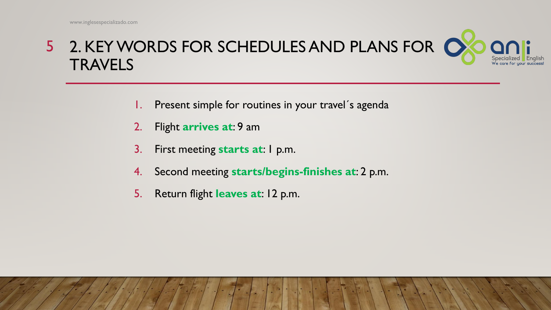### 2. KEY WORDS FOR SCHEDULES AND PLANS FOR 5 **TRAVELS**

- 1. Present simple for routines in your travel´s agenda
- 2. Flight **arrives at**: 9 am
- 3. First meeting **starts at**: 1 p.m.
- 4. Second meeting **starts/begins-finishes at**: 2 p.m.
- 5. Return flight **leaves at**: 12 p.m.